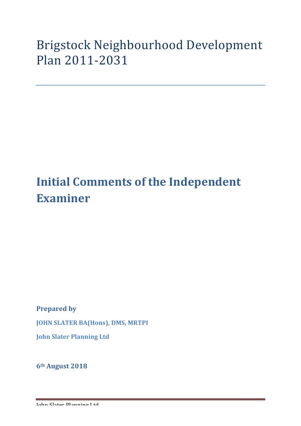## Brigstock Neighbourhood Development Plan 2011-2031

## **Initial Comments of the Independent Examiner**

**Prepared by** 

**JOHN SLATER BA(Hons), DMS, MRTPI** 

**John Slater Planning Ltd**

**6th August 2018**

John Slater Planning Ltd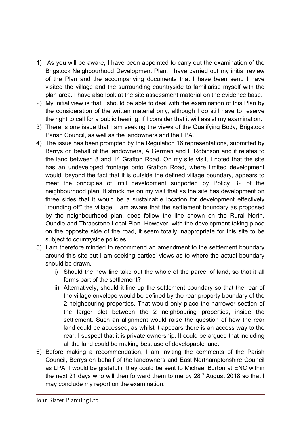- 1) As you will be aware, I have been appointed to carry out the examination of the Brigstock Neighbourhood Development Plan. I have carried out my initial review of the Plan and the accompanying documents that I have been sent. I have visited the village and the surrounding countryside to familiarise myself with the plan area. I have also look at the site assessment material on the evidence base.
- 2) My initial view is that I should be able to deal with the examination of this Plan by the consideration of the written material only, although I do still have to reserve the right to call for a public hearing, if I consider that it will assist my examination.
- 3) There is one issue that I am seeking the views of the Qualifying Body, Brigstock Parish Council, as well as the landowners and the LPA.
- 4) The issue has been prompted by the Regulation 16 representations, submitted by Berrys on behalf of the landowners, A German and F Robinson and it relates to the land between 8 and 14 Grafton Road. On my site visit, I noted that the site has an undeveloped frontage onto Grafton Road, where limited development would, beyond the fact that it is outside the defined village boundary, appears to meet the principles of infill development supported by Policy B2 of the neighbourhood plan. It struck me on my visit that as the site has development on three sides that it would be a sustainable location for development effectively "rounding off" the village. I am aware that the settlement boundary as proposed by the neighbourhood plan, does follow the line shown on the Rural North, Oundle and Thrapstone Local Plan. However, with the development taking place on the opposite side of the road, it seem totally inappropriate for this site to be subject to countryside policies.
- 5) I am therefore minded to recommend an amendment to the settlement boundary around this site but I am seeking parties' views as to where the actual boundary should be drawn.
	- i) Should the new line take out the whole of the parcel of land, so that it all forms part of the settlement?
	- ii) Alternatively, should it line up the settlement boundary so that the rear of the village envelope would be defined by the rear property boundary of the 2 neighbouring properties. That would only place the narrower section of the larger plot between the 2 neighbouring properties, inside the settlement. Such an alignment would raise the question of how the rear land could be accessed, as whilst it appears there is an access way to the rear, I suspect that it is private ownership. It could be argued that including all the land could be making best use of developable land.
- 6) Before making a recommendation, I am inviting the comments of the Parish Council, Berrys on behalf of the landowners and East Northamptonshire Council as LPA. I would be grateful if they could be sent to Michael Burton at ENC within the next 21 days who will then forward them to me by  $28<sup>th</sup>$  August 2018 so that I may conclude my report on the examination.